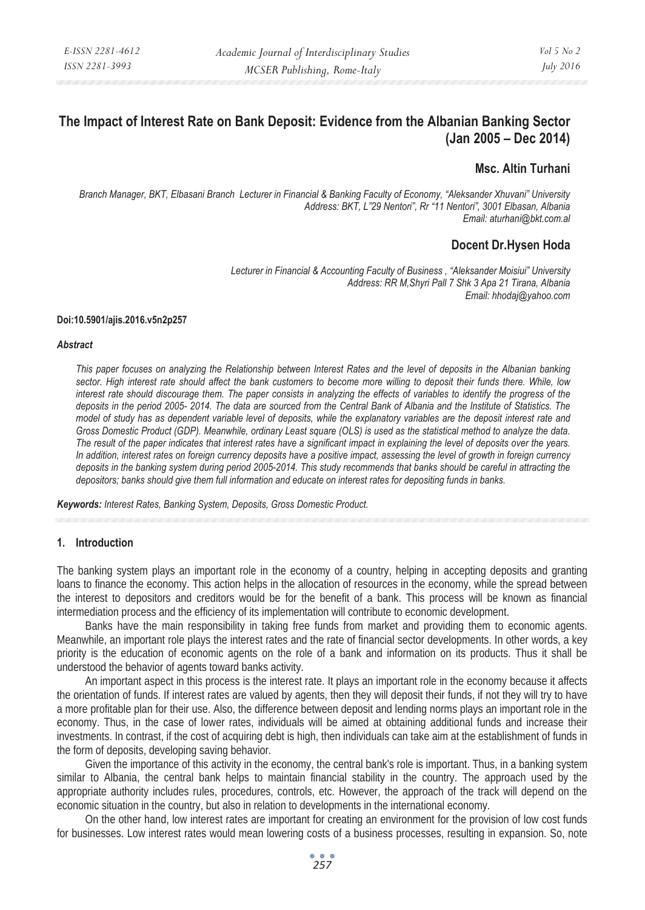# **The Impact of Interest Rate on Bank Deposit: Evidence from the Albanian Banking Sector (Jan 2005 – Dec 2014)**

# **Msc. Altin Turhani**

*Branch Manager, BKT, Elbasani Branch Lecturer in Financial & Banking Faculty of Economy, "Aleksander Xhuvani" University Address: BKT, L"29 Nentori", Rr "11 Nentori", 3001 Elbasan, Albania Email: aturhani@bkt.com.al* 

# **Docent Dr.Hysen Hoda**

*Lecturer in Financial & Accounting Faculty of Business , "Aleksander Moisiui" University Address: RR M,Shyri Pall 7 Shk 3 Apa 21 Tirana, Albania Email: hhodaj@yahoo.com* 

#### **Doi:10.5901/ajis.2016.v5n2p257**

#### *Abstract*

*This paper focuses on analyzing the Relationship between Interest Rates and the level of deposits in the Albanian banking sector. High interest rate should affect the bank customers to become more willing to deposit their funds there. While, low interest rate should discourage them. The paper consists in analyzing the effects of variables to identify the progress of the deposits in the period 2005- 2014. The data are sourced from the Central Bank of Albania and the Institute of Statistics. The model of study has as dependent variable level of deposits, while the explanatory variables are the deposit interest rate and Gross Domestic Product (GDP). Meanwhile, ordinary Least square (OLS) is used as the statistical method to analyze the data. The result of the paper indicates that interest rates have a significant impact in explaining the level of deposits over the years. In addition, interest rates on foreign currency deposits have a positive impact, assessing the level of growth in foreign currency deposits in the banking system during period 2005-2014. This study recommends that banks should be careful in attracting the depositors; banks should give them full information and educate on interest rates for depositing funds in banks.* 

*Keywords: Interest Rates, Banking System, Deposits, Gross Domestic Product.* 

## **1. Introduction**

The banking system plays an important role in the economy of a country, helping in accepting deposits and granting loans to finance the economy. This action helps in the allocation of resources in the economy, while the spread between the interest to depositors and creditors would be for the benefit of a bank. This process will be known as financial intermediation process and the efficiency of its implementation will contribute to economic development.

Banks have the main responsibility in taking free funds from market and providing them to economic agents. Meanwhile, an important role plays the interest rates and the rate of financial sector developments. In other words, a key priority is the education of economic agents on the role of a bank and information on its products. Thus it shall be understood the behavior of agents toward banks activity.

An important aspect in this process is the interest rate. It plays an important role in the economy because it affects the orientation of funds. If interest rates are valued by agents, then they will deposit their funds, if not they will try to have a more profitable plan for their use. Also, the difference between deposit and lending norms plays an important role in the economy. Thus, in the case of lower rates, individuals will be aimed at obtaining additional funds and increase their investments. In contrast, if the cost of acquiring debt is high, then individuals can take aim at the establishment of funds in the form of deposits, developing saving behavior.

Given the importance of this activity in the economy, the central bank's role is important. Thus, in a banking system similar to Albania, the central bank helps to maintain financial stability in the country. The approach used by the appropriate authority includes rules, procedures, controls, etc. However, the approach of the track will depend on the economic situation in the country, but also in relation to developments in the international economy.

On the other hand, low interest rates are important for creating an environment for the provision of low cost funds for businesses. Low interest rates would mean lowering costs of a business processes, resulting in expansion. So, note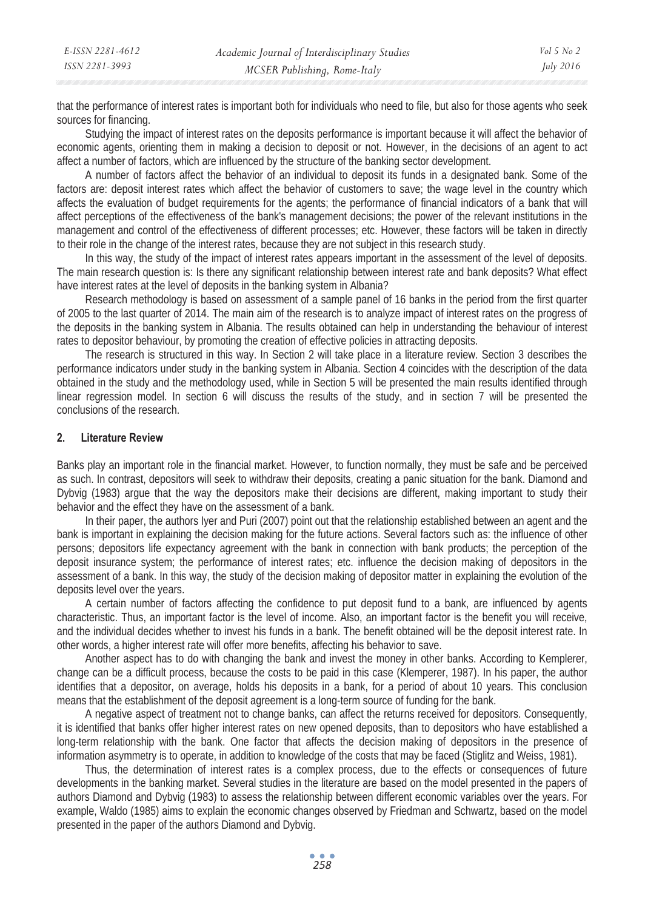| E-ISSN 2281-4612 | Academic Journal of Interdisciplinary Studies | $Vol_5$ No 2 |
|------------------|-----------------------------------------------|--------------|
| ISSN 2281-3993   | MCSER Publishing, Rome-Italy                  | July 2016    |

that the performance of interest rates is important both for individuals who need to file, but also for those agents who seek sources for financing.

Studying the impact of interest rates on the deposits performance is important because it will affect the behavior of economic agents, orienting them in making a decision to deposit or not. However, in the decisions of an agent to act affect a number of factors, which are influenced by the structure of the banking sector development.

A number of factors affect the behavior of an individual to deposit its funds in a designated bank. Some of the factors are: deposit interest rates which affect the behavior of customers to save; the wage level in the country which affects the evaluation of budget requirements for the agents; the performance of financial indicators of a bank that will affect perceptions of the effectiveness of the bank's management decisions; the power of the relevant institutions in the management and control of the effectiveness of different processes; etc. However, these factors will be taken in directly to their role in the change of the interest rates, because they are not subject in this research study.

In this way, the study of the impact of interest rates appears important in the assessment of the level of deposits. The main research question is: Is there any significant relationship between interest rate and bank deposits? What effect have interest rates at the level of deposits in the banking system in Albania?

Research methodology is based on assessment of a sample panel of 16 banks in the period from the first quarter of 2005 to the last quarter of 2014. The main aim of the research is to analyze impact of interest rates on the progress of the deposits in the banking system in Albania. The results obtained can help in understanding the behaviour of interest rates to depositor behaviour, by promoting the creation of effective policies in attracting deposits.

The research is structured in this way. In Section 2 will take place in a literature review. Section 3 describes the performance indicators under study in the banking system in Albania. Section 4 coincides with the description of the data obtained in the study and the methodology used, while in Section 5 will be presented the main results identified through linear regression model. In section 6 will discuss the results of the study, and in section 7 will be presented the conclusions of the research.

## **2. Literature Review**

Banks play an important role in the financial market. However, to function normally, they must be safe and be perceived as such. In contrast, depositors will seek to withdraw their deposits, creating a panic situation for the bank. Diamond and Dybvig (1983) argue that the way the depositors make their decisions are different, making important to study their behavior and the effect they have on the assessment of a bank.

In their paper, the authors Iyer and Puri (2007) point out that the relationship established between an agent and the bank is important in explaining the decision making for the future actions. Several factors such as: the influence of other persons; depositors life expectancy agreement with the bank in connection with bank products; the perception of the deposit insurance system; the performance of interest rates; etc. influence the decision making of depositors in the assessment of a bank. In this way, the study of the decision making of depositor matter in explaining the evolution of the deposits level over the years.

A certain number of factors affecting the confidence to put deposit fund to a bank, are influenced by agents characteristic. Thus, an important factor is the level of income. Also, an important factor is the benefit you will receive, and the individual decides whether to invest his funds in a bank. The benefit obtained will be the deposit interest rate. In other words, a higher interest rate will offer more benefits, affecting his behavior to save.

Another aspect has to do with changing the bank and invest the money in other banks. According to Kemplerer, change can be a difficult process, because the costs to be paid in this case (Klemperer, 1987). In his paper, the author identifies that a depositor, on average, holds his deposits in a bank, for a period of about 10 years. This conclusion means that the establishment of the deposit agreement is a long-term source of funding for the bank.

A negative aspect of treatment not to change banks, can affect the returns received for depositors. Consequently, it is identified that banks offer higher interest rates on new opened deposits, than to depositors who have established a long-term relationship with the bank. One factor that affects the decision making of depositors in the presence of information asymmetry is to operate, in addition to knowledge of the costs that may be faced (Stiglitz and Weiss, 1981).

Thus, the determination of interest rates is a complex process, due to the effects or consequences of future developments in the banking market. Several studies in the literature are based on the model presented in the papers of authors Diamond and Dybvig (1983) to assess the relationship between different economic variables over the years. For example, Waldo (1985) aims to explain the economic changes observed by Friedman and Schwartz, based on the model presented in the paper of the authors Diamond and Dybvig.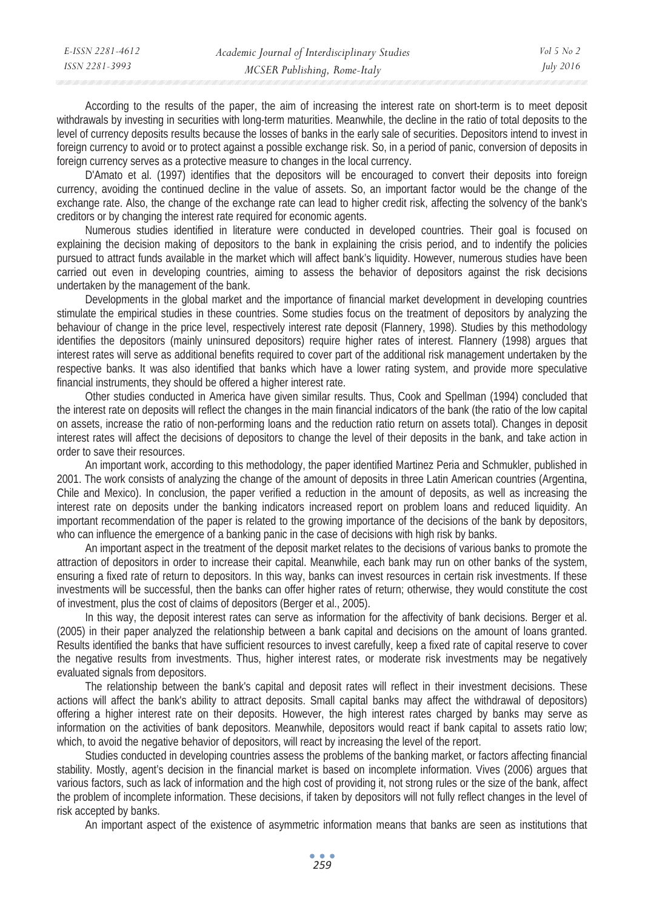| E-ISSN 2281-4612 | Academic Journal of Interdisciplinary Studies | Vol 5 No 2       |
|------------------|-----------------------------------------------|------------------|
| ISSN 2281-3993   | MCSER Publishing, Rome-Italy                  | <i>July 2016</i> |

According to the results of the paper, the aim of increasing the interest rate on short-term is to meet deposit withdrawals by investing in securities with long-term maturities. Meanwhile, the decline in the ratio of total deposits to the level of currency deposits results because the losses of banks in the early sale of securities. Depositors intend to invest in foreign currency to avoid or to protect against a possible exchange risk. So, in a period of panic, conversion of deposits in foreign currency serves as a protective measure to changes in the local currency.

D'Amato et al. (1997) identifies that the depositors will be encouraged to convert their deposits into foreign currency, avoiding the continued decline in the value of assets. So, an important factor would be the change of the exchange rate. Also, the change of the exchange rate can lead to higher credit risk, affecting the solvency of the bank's creditors or by changing the interest rate required for economic agents.

Numerous studies identified in literature were conducted in developed countries. Their goal is focused on explaining the decision making of depositors to the bank in explaining the crisis period, and to indentify the policies pursued to attract funds available in the market which will affect bank's liquidity. However, numerous studies have been carried out even in developing countries, aiming to assess the behavior of depositors against the risk decisions undertaken by the management of the bank.

Developments in the global market and the importance of financial market development in developing countries stimulate the empirical studies in these countries. Some studies focus on the treatment of depositors by analyzing the behaviour of change in the price level, respectively interest rate deposit (Flannery, 1998). Studies by this methodology identifies the depositors (mainly uninsured depositors) require higher rates of interest. Flannery (1998) argues that interest rates will serve as additional benefits required to cover part of the additional risk management undertaken by the respective banks. It was also identified that banks which have a lower rating system, and provide more speculative financial instruments, they should be offered a higher interest rate.

Other studies conducted in America have given similar results. Thus, Cook and Spellman (1994) concluded that the interest rate on deposits will reflect the changes in the main financial indicators of the bank (the ratio of the low capital on assets, increase the ratio of non-performing loans and the reduction ratio return on assets total). Changes in deposit interest rates will affect the decisions of depositors to change the level of their deposits in the bank, and take action in order to save their resources.

An important work, according to this methodology, the paper identified Martinez Peria and Schmukler, published in 2001. The work consists of analyzing the change of the amount of deposits in three Latin American countries (Argentina, Chile and Mexico). In conclusion, the paper verified a reduction in the amount of deposits, as well as increasing the interest rate on deposits under the banking indicators increased report on problem loans and reduced liquidity. An important recommendation of the paper is related to the growing importance of the decisions of the bank by depositors, who can influence the emergence of a banking panic in the case of decisions with high risk by banks.

An important aspect in the treatment of the deposit market relates to the decisions of various banks to promote the attraction of depositors in order to increase their capital. Meanwhile, each bank may run on other banks of the system, ensuring a fixed rate of return to depositors. In this way, banks can invest resources in certain risk investments. If these investments will be successful, then the banks can offer higher rates of return; otherwise, they would constitute the cost of investment, plus the cost of claims of depositors (Berger et al., 2005).

In this way, the deposit interest rates can serve as information for the affectivity of bank decisions. Berger et al. (2005) in their paper analyzed the relationship between a bank capital and decisions on the amount of loans granted. Results identified the banks that have sufficient resources to invest carefully, keep a fixed rate of capital reserve to cover the negative results from investments. Thus, higher interest rates, or moderate risk investments may be negatively evaluated signals from depositors.

The relationship between the bank's capital and deposit rates will reflect in their investment decisions. These actions will affect the bank's ability to attract deposits. Small capital banks may affect the withdrawal of depositors) offering a higher interest rate on their deposits. However, the high interest rates charged by banks may serve as information on the activities of bank depositors. Meanwhile, depositors would react if bank capital to assets ratio low; which, to avoid the negative behavior of depositors, will react by increasing the level of the report.

Studies conducted in developing countries assess the problems of the banking market, or factors affecting financial stability. Mostly, agent's decision in the financial market is based on incomplete information. Vives (2006) argues that various factors, such as lack of information and the high cost of providing it, not strong rules or the size of the bank, affect the problem of incomplete information. These decisions, if taken by depositors will not fully reflect changes in the level of risk accepted by banks.

An important aspect of the existence of asymmetric information means that banks are seen as institutions that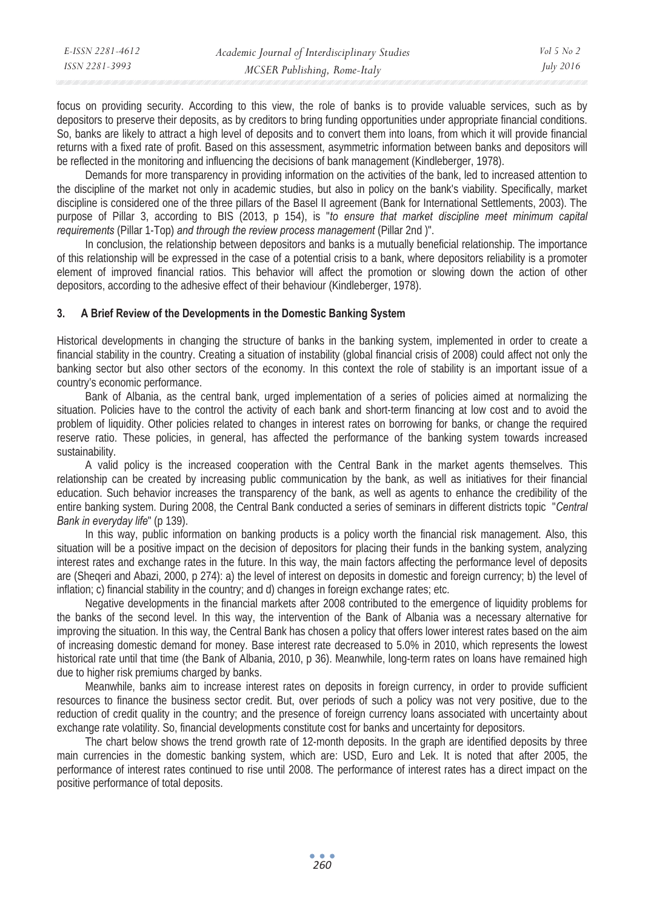| E-ISSN 2281-4612 | Academic Journal of Interdisciplinary Studies | Vol 5 No 2       |
|------------------|-----------------------------------------------|------------------|
| ISSN 2281-3993   | MCSER Publishing, Rome-Italy                  | <i>July 2016</i> |

focus on providing security. According to this view, the role of banks is to provide valuable services, such as by depositors to preserve their deposits, as by creditors to bring funding opportunities under appropriate financial conditions. So, banks are likely to attract a high level of deposits and to convert them into loans, from which it will provide financial returns with a fixed rate of profit. Based on this assessment, asymmetric information between banks and depositors will be reflected in the monitoring and influencing the decisions of bank management (Kindleberger, 1978).

Demands for more transparency in providing information on the activities of the bank, led to increased attention to the discipline of the market not only in academic studies, but also in policy on the bank's viability. Specifically, market discipline is considered one of the three pillars of the Basel II agreement (Bank for International Settlements, 2003). The purpose of Pillar 3, according to BIS (2013, p 154), is "*to ensure that market discipline meet minimum capital requirements* (Pillar 1-Top) *and through the review process management* (Pillar 2nd )".

In conclusion, the relationship between depositors and banks is a mutually beneficial relationship. The importance of this relationship will be expressed in the case of a potential crisis to a bank, where depositors reliability is a promoter element of improved financial ratios. This behavior will affect the promotion or slowing down the action of other depositors, according to the adhesive effect of their behaviour (Kindleberger, 1978).

## **3. A Brief Review of the Developments in the Domestic Banking System**

Historical developments in changing the structure of banks in the banking system, implemented in order to create a financial stability in the country. Creating a situation of instability (global financial crisis of 2008) could affect not only the banking sector but also other sectors of the economy. In this context the role of stability is an important issue of a country's economic performance.

Bank of Albania, as the central bank, urged implementation of a series of policies aimed at normalizing the situation. Policies have to the control the activity of each bank and short-term financing at low cost and to avoid the problem of liquidity. Other policies related to changes in interest rates on borrowing for banks, or change the required reserve ratio. These policies, in general, has affected the performance of the banking system towards increased sustainability.

A valid policy is the increased cooperation with the Central Bank in the market agents themselves. This relationship can be created by increasing public communication by the bank, as well as initiatives for their financial education. Such behavior increases the transparency of the bank, as well as agents to enhance the credibility of the entire banking system. During 2008, the Central Bank conducted a series of seminars in different districts topic "*Central Bank in everyday life*" (p 139).

In this way, public information on banking products is a policy worth the financial risk management. Also, this situation will be a positive impact on the decision of depositors for placing their funds in the banking system, analyzing interest rates and exchange rates in the future. In this way, the main factors affecting the performance level of deposits are (Sheqeri and Abazi, 2000, p 274): a) the level of interest on deposits in domestic and foreign currency; b) the level of inflation; c) financial stability in the country; and d) changes in foreign exchange rates; etc.

Negative developments in the financial markets after 2008 contributed to the emergence of liquidity problems for the banks of the second level. In this way, the intervention of the Bank of Albania was a necessary alternative for improving the situation. In this way, the Central Bank has chosen a policy that offers lower interest rates based on the aim of increasing domestic demand for money. Base interest rate decreased to 5.0% in 2010, which represents the lowest historical rate until that time (the Bank of Albania, 2010, p 36). Meanwhile, long-term rates on loans have remained high due to higher risk premiums charged by banks.

Meanwhile, banks aim to increase interest rates on deposits in foreign currency, in order to provide sufficient resources to finance the business sector credit. But, over periods of such a policy was not very positive, due to the reduction of credit quality in the country; and the presence of foreign currency loans associated with uncertainty about exchange rate volatility. So, financial developments constitute cost for banks and uncertainty for depositors.

The chart below shows the trend growth rate of 12-month deposits. In the graph are identified deposits by three main currencies in the domestic banking system, which are: USD, Euro and Lek. It is noted that after 2005, the performance of interest rates continued to rise until 2008. The performance of interest rates has a direct impact on the positive performance of total deposits.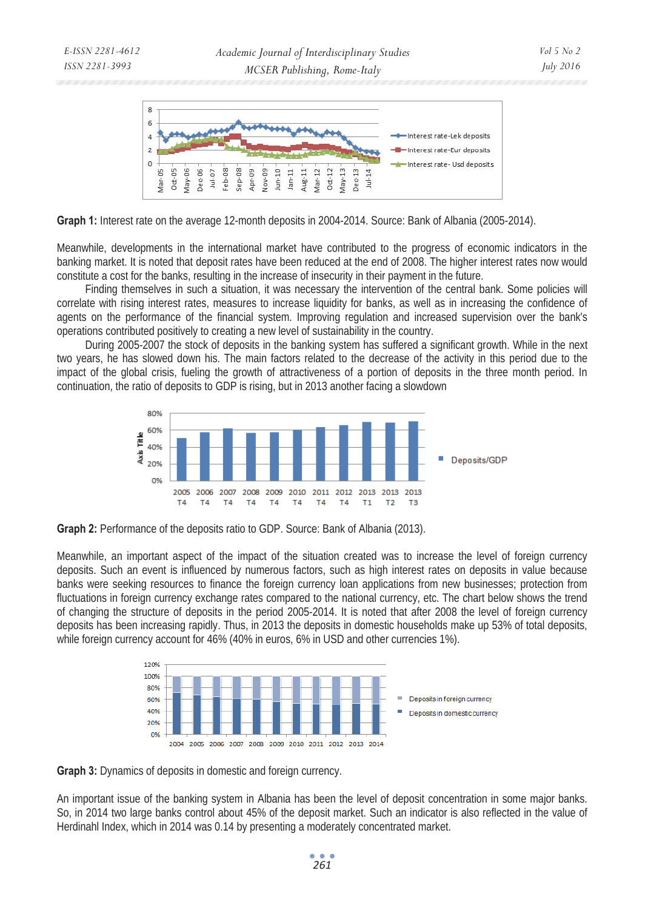

**Graph 1:** Interest rate on the average 12-month deposits in 2004-2014. Source: Bank of Albania (2005-2014).

Meanwhile, developments in the international market have contributed to the progress of economic indicators in the banking market. It is noted that deposit rates have been reduced at the end of 2008. The higher interest rates now would constitute a cost for the banks, resulting in the increase of insecurity in their payment in the future.

Finding themselves in such a situation, it was necessary the intervention of the central bank. Some policies will correlate with rising interest rates, measures to increase liquidity for banks, as well as in increasing the confidence of agents on the performance of the financial system. Improving regulation and increased supervision over the bank's operations contributed positively to creating a new level of sustainability in the country.

During 2005-2007 the stock of deposits in the banking system has suffered a significant growth. While in the next two years, he has slowed down his. The main factors related to the decrease of the activity in this period due to the impact of the global crisis, fueling the growth of attractiveness of a portion of deposits in the three month period. In continuation, the ratio of deposits to GDP is rising, but in 2013 another facing a slowdown



**Graph 2:** Performance of the deposits ratio to GDP. Source: Bank of Albania (2013).

Meanwhile, an important aspect of the impact of the situation created was to increase the level of foreign currency deposits. Such an event is influenced by numerous factors, such as high interest rates on deposits in value because banks were seeking resources to finance the foreign currency loan applications from new businesses; protection from fluctuations in foreign currency exchange rates compared to the national currency, etc. The chart below shows the trend of changing the structure of deposits in the period 2005-2014. It is noted that after 2008 the level of foreign currency deposits has been increasing rapidly. Thus, in 2013 the deposits in domestic households make up 53% of total deposits, while foreign currency account for 46% (40% in euros, 6% in USD and other currencies 1%).



**Graph 3:** Dynamics of deposits in domestic and foreign currency.

An important issue of the banking system in Albania has been the level of deposit concentration in some major banks. So, in 2014 two large banks control about 45% of the deposit market. Such an indicator is also reflected in the value of Herdinahl Index, which in 2014 was 0.14 by presenting a moderately concentrated market.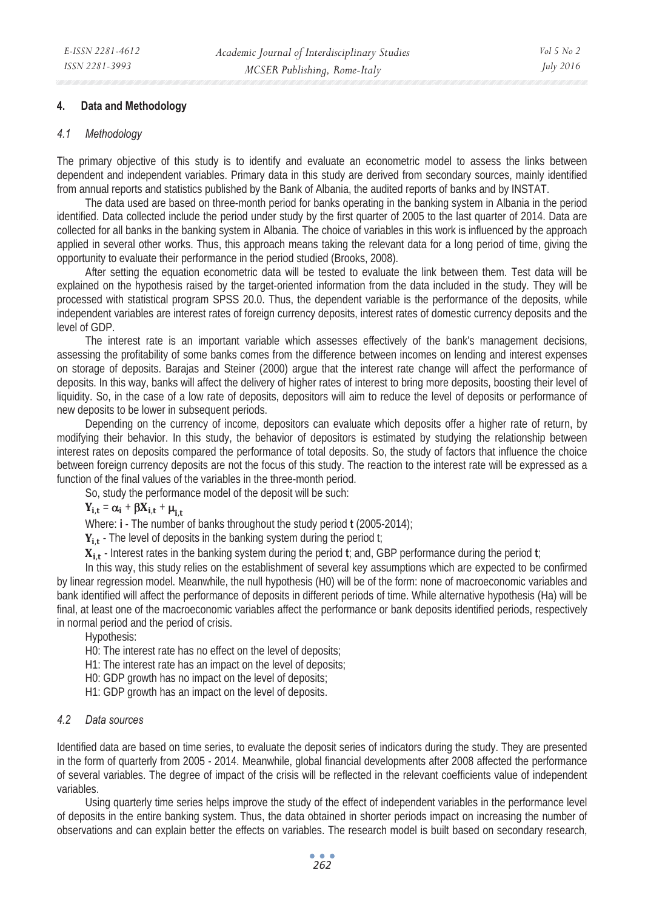### **4. Data and Methodology**

#### *4.1 Methodology*

The primary objective of this study is to identify and evaluate an econometric model to assess the links between dependent and independent variables. Primary data in this study are derived from secondary sources, mainly identified from annual reports and statistics published by the Bank of Albania, the audited reports of banks and by INSTAT.

The data used are based on three-month period for banks operating in the banking system in Albania in the period identified. Data collected include the period under study by the first quarter of 2005 to the last quarter of 2014. Data are collected for all banks in the banking system in Albania. The choice of variables in this work is influenced by the approach applied in several other works. Thus, this approach means taking the relevant data for a long period of time, giving the opportunity to evaluate their performance in the period studied (Brooks, 2008).

After setting the equation econometric data will be tested to evaluate the link between them. Test data will be explained on the hypothesis raised by the target-oriented information from the data included in the study. They will be processed with statistical program SPSS 20.0. Thus, the dependent variable is the performance of the deposits, while independent variables are interest rates of foreign currency deposits, interest rates of domestic currency deposits and the level of GDP.

The interest rate is an important variable which assesses effectively of the bank's management decisions, assessing the profitability of some banks comes from the difference between incomes on lending and interest expenses on storage of deposits. Barajas and Steiner (2000) argue that the interest rate change will affect the performance of deposits. In this way, banks will affect the delivery of higher rates of interest to bring more deposits, boosting their level of liquidity. So, in the case of a low rate of deposits, depositors will aim to reduce the level of deposits or performance of new deposits to be lower in subsequent periods.

Depending on the currency of income, depositors can evaluate which deposits offer a higher rate of return, by modifying their behavior. In this study, the behavior of depositors is estimated by studying the relationship between interest rates on deposits compared the performance of total deposits. So, the study of factors that influence the choice between foreign currency deposits are not the focus of this study. The reaction to the interest rate will be expressed as a function of the final values of the variables in the three-month period.

So, study the performance model of the deposit will be such:

## $Y_{i,t} = \alpha_i + \beta X_{i,t} + \mu_{i,t}$

Where: **i** - The number of banks throughout the study period **t** (2005-2014);

 $Y_{i,t}$  - The level of deposits in the banking system during the period t;

X<sub>i,t</sub> - Interest rates in the banking system during the period **t**; and, GBP performance during the period **t**;

In this way, this study relies on the establishment of several key assumptions which are expected to be confirmed by linear regression model. Meanwhile, the null hypothesis (H0) will be of the form: none of macroeconomic variables and bank identified will affect the performance of deposits in different periods of time. While alternative hypothesis (Ha) will be final, at least one of the macroeconomic variables affect the performance or bank deposits identified periods, respectively in normal period and the period of crisis.

Hypothesis:

H0: The interest rate has no effect on the level of deposits;

H1: The interest rate has an impact on the level of deposits;

H0: GDP growth has no impact on the level of deposits;

H1: GDP growth has an impact on the level of deposits.

### *4.2 Data sources*

Identified data are based on time series, to evaluate the deposit series of indicators during the study. They are presented in the form of quarterly from 2005 - 2014. Meanwhile, global financial developments after 2008 affected the performance of several variables. The degree of impact of the crisis will be reflected in the relevant coefficients value of independent variables.

Using quarterly time series helps improve the study of the effect of independent variables in the performance level of deposits in the entire banking system. Thus, the data obtained in shorter periods impact on increasing the number of observations and can explain better the effects on variables. The research model is built based on secondary research,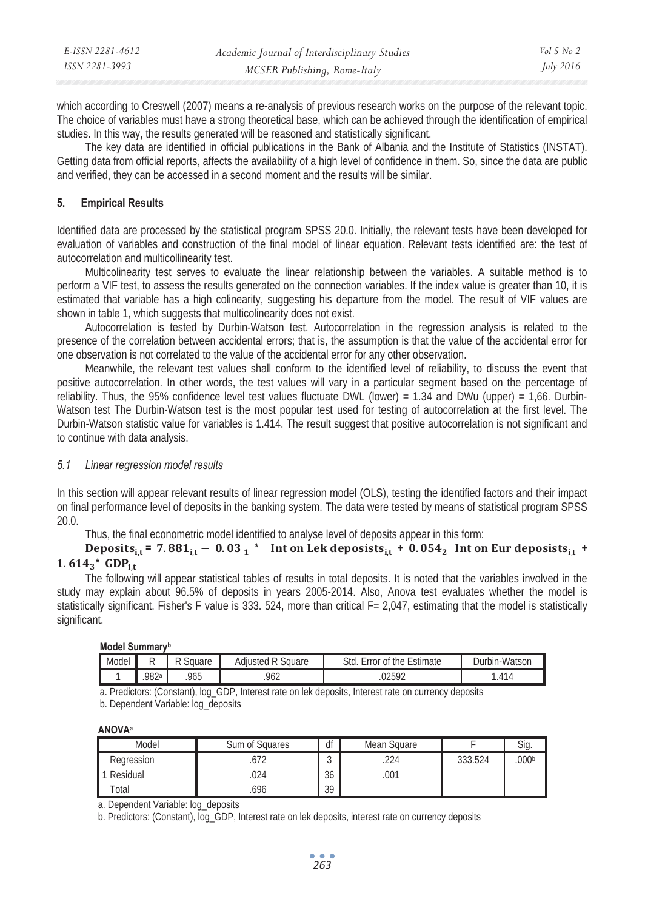| E-ISSN 2281-4612 | Academic Journal of Interdisciplinary Studies | <i>Vol</i> 5 No 2 |
|------------------|-----------------------------------------------|-------------------|
| ISSN 2281-3993   | MCSER Publishing, Rome-Italy                  | July 2016         |

which according to Creswell (2007) means a re-analysis of previous research works on the purpose of the relevant topic. The choice of variables must have a strong theoretical base, which can be achieved through the identification of empirical studies. In this way, the results generated will be reasoned and statistically significant.

The key data are identified in official publications in the Bank of Albania and the Institute of Statistics (INSTAT). Getting data from official reports, affects the availability of a high level of confidence in them. So, since the data are public and verified, they can be accessed in a second moment and the results will be similar.

## **5. Empirical Results**

Identified data are processed by the statistical program SPSS 20.0. Initially, the relevant tests have been developed for evaluation of variables and construction of the final model of linear equation. Relevant tests identified are: the test of autocorrelation and multicollinearity test.

Multicolinearity test serves to evaluate the linear relationship between the variables. A suitable method is to perform a VIF test, to assess the results generated on the connection variables. If the index value is greater than 10, it is estimated that variable has a high colinearity, suggesting his departure from the model. The result of VIF values are shown in table 1, which suggests that multicolinearity does not exist.

Autocorrelation is tested by Durbin-Watson test. Autocorrelation in the regression analysis is related to the presence of the correlation between accidental errors; that is, the assumption is that the value of the accidental error for one observation is not correlated to the value of the accidental error for any other observation.

Meanwhile, the relevant test values shall conform to the identified level of reliability, to discuss the event that positive autocorrelation. In other words, the test values will vary in a particular segment based on the percentage of reliability. Thus, the 95% confidence level test values fluctuate DWL (lower) = 1.34 and DWu (upper) = 1,66. Durbin-Watson test The Durbin-Watson test is the most popular test used for testing of autocorrelation at the first level. The Durbin-Watson statistic value for variables is 1.414. The result suggest that positive autocorrelation is not significant and to continue with data analysis.

## *5.1 Linear regression model results*

In this section will appear relevant results of linear regression model (OLS), testing the identified factors and their impact on final performance level of deposits in the banking system. The data were tested by means of statistical program SPSS 20.0.

Thus, the final econometric model identified to analyse level of deposits appear in this form:

 **Deposits**<sub>it</sub> = 7.881<sub>it</sub> - 0.03<sub>1</sub> \* Int on Lek deposists<sub>it</sub> + 0.054<sub>2</sub> Int on Eur deposists<sub>it</sub> +  $1.614_3*$  GDP<sub>it</sub>

The following will appear statistical tables of results in total deposits. It is noted that the variables involved in the study may explain about 96.5% of deposits in years 2005-2014. Also, Anova test evaluates whether the model is statistically significant. Fisher's F value is 333. 524, more than critical F= 2,047, estimating that the model is statistically significant.

#### **Model Summaryb**

| Model |      | Square | $\sim$<br><br>Square<br>Adiusteo | -<br>Std<br>$•$ the $\cdot$<br>∴stimate<br>0t<br>rror<br><b>.</b> | n-Watson<br>Jurbin |
|-------|------|--------|----------------------------------|-------------------------------------------------------------------|--------------------|
|       | 982ª | 965    | 062<br>.7 U Z                    | ∩ว⊾ถว<br>UZJYZ                                                    | $\overline{A}$     |

a. Predictors: (Constant), log\_GDP, Interest rate on lek deposits, Interest rate on currency deposits

b. Dependent Variable: log\_deposits

**ANOVAa**

| Model      | Sum of Squares | df          | Mean Square |         | Sia. |
|------------|----------------|-------------|-------------|---------|------|
| Regression | $-10$          | $\sim$<br>J | 224         | 333.524 | 000b |
| Residual   | .024           | 36          | .001        |         |      |
| otal       | .696           | 39          |             |         |      |

a. Dependent Variable: log\_deposits

b. Predictors: (Constant), log\_GDP, Interest rate on lek deposits, interest rate on currency deposits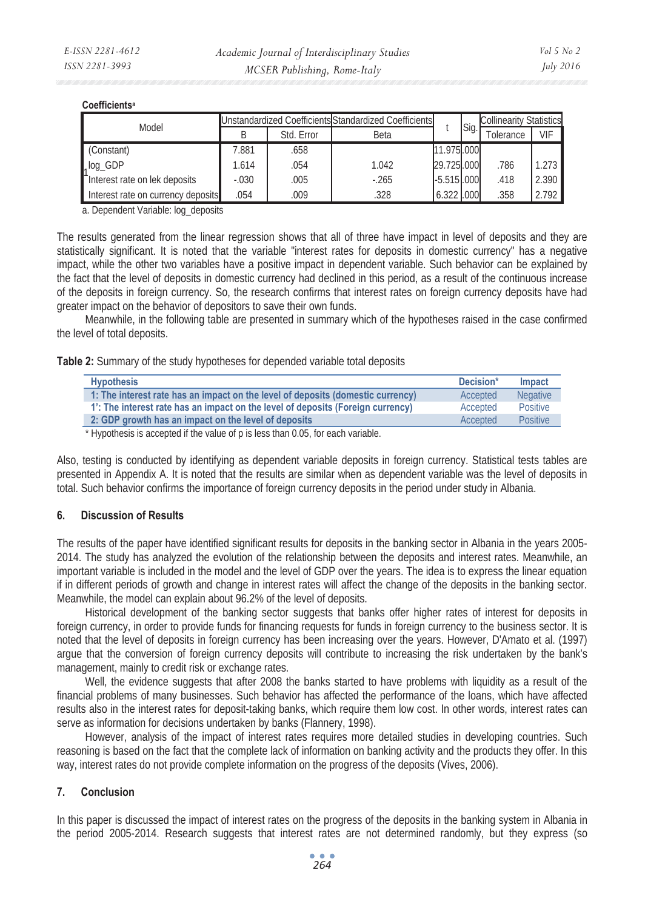#### **Coefficientsa**

| Model                              | Unstandardized Coefficients Standardized Coefficients |            |        |               |      | <b>Collinearity Statistics</b> |       |
|------------------------------------|-------------------------------------------------------|------------|--------|---------------|------|--------------------------------|-------|
|                                    |                                                       | Std. Error | Beta   |               | Sig. | <b>Olerance</b>                | VIF   |
| (Constant)                         | 7.881                                                 | .658       |        | 11.975.000    |      |                                |       |
| $1log_GDP$                         | 1.614                                                 | .054       | 1.042  | 29.725.000    |      | 786                            | 1.273 |
| Interest rate on lek deposits      | $-.030$                                               | .005       | $-265$ | $-5.515$ .000 |      | .418                           | 2.390 |
| Interest rate on currency deposits | .054                                                  | .009       | .328   | 6.322 .000    |      | .358                           | 2.792 |

a. Dependent Variable: log\_deposits

The results generated from the linear regression shows that all of three have impact in level of deposits and they are statistically significant. It is noted that the variable "interest rates for deposits in domestic currency" has a negative impact, while the other two variables have a positive impact in dependent variable. Such behavior can be explained by the fact that the level of deposits in domestic currency had declined in this period, as a result of the continuous increase of the deposits in foreign currency. So, the research confirms that interest rates on foreign currency deposits have had greater impact on the behavior of depositors to save their own funds.

Meanwhile, in the following table are presented in summary which of the hypotheses raised in the case confirmed the level of total deposits.

**Table 2:** Summary of the study hypotheses for depended variable total deposits

| <b>Hypothesis</b>                                                               | Decision* | Impact          |
|---------------------------------------------------------------------------------|-----------|-----------------|
| 1: The interest rate has an impact on the level of deposits (domestic currency) | Accepted  | <b>Negative</b> |
| 1: The interest rate has an impact on the level of deposits (Foreign currency)  | Accepted  | Positive        |
| 2: GDP growth has an impact on the level of deposits                            | Accepted  | <b>Positive</b> |

\* Hypothesis is accepted if the value of p is less than 0.05, for each variable.

Also, testing is conducted by identifying as dependent variable deposits in foreign currency. Statistical tests tables are presented in Appendix A. It is noted that the results are similar when as dependent variable was the level of deposits in total. Such behavior confirms the importance of foreign currency deposits in the period under study in Albania.

## **6. Discussion of Results**

The results of the paper have identified significant results for deposits in the banking sector in Albania in the years 2005- 2014. The study has analyzed the evolution of the relationship between the deposits and interest rates. Meanwhile, an important variable is included in the model and the level of GDP over the years. The idea is to express the linear equation if in different periods of growth and change in interest rates will affect the change of the deposits in the banking sector. Meanwhile, the model can explain about 96.2% of the level of deposits.

Historical development of the banking sector suggests that banks offer higher rates of interest for deposits in foreign currency, in order to provide funds for financing requests for funds in foreign currency to the business sector. It is noted that the level of deposits in foreign currency has been increasing over the years. However, D'Amato et al. (1997) argue that the conversion of foreign currency deposits will contribute to increasing the risk undertaken by the bank's management, mainly to credit risk or exchange rates.

Well, the evidence suggests that after 2008 the banks started to have problems with liquidity as a result of the financial problems of many businesses. Such behavior has affected the performance of the loans, which have affected results also in the interest rates for deposit-taking banks, which require them low cost. In other words, interest rates can serve as information for decisions undertaken by banks (Flannery, 1998).

However, analysis of the impact of interest rates requires more detailed studies in developing countries. Such reasoning is based on the fact that the complete lack of information on banking activity and the products they offer. In this way, interest rates do not provide complete information on the progress of the deposits (Vives, 2006).

## **7. Conclusion**

In this paper is discussed the impact of interest rates on the progress of the deposits in the banking system in Albania in the period 2005-2014. Research suggests that interest rates are not determined randomly, but they express (so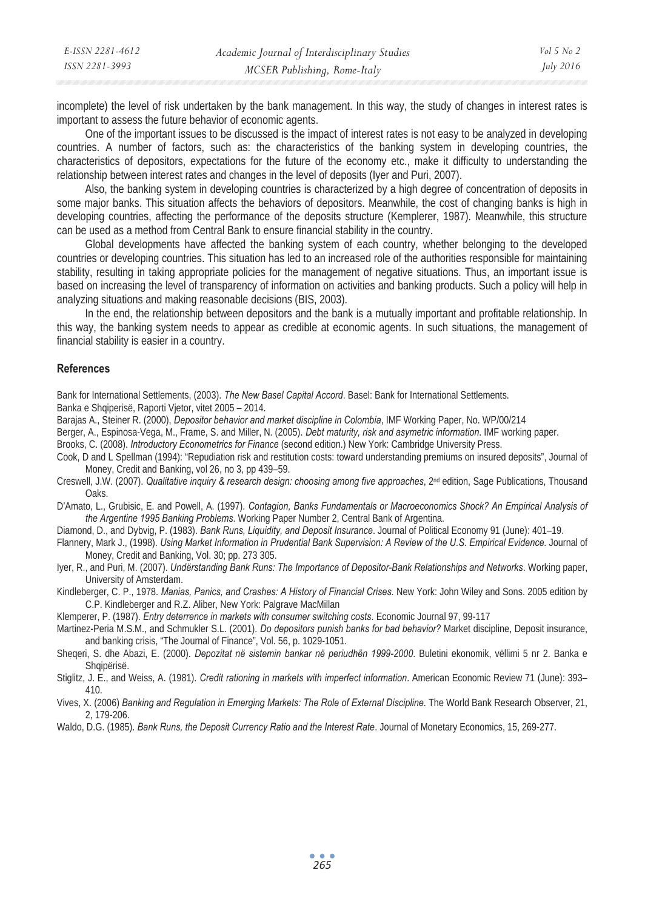| E-ISSN 2281-4612 | Academic Journal of Interdisciplinary Studies | Vol 5 No 2 |
|------------------|-----------------------------------------------|------------|
| ISSN 2281-3993   | MCSER Publishing, Rome-Italy                  | July 2016  |

incomplete) the level of risk undertaken by the bank management. In this way, the study of changes in interest rates is important to assess the future behavior of economic agents.

One of the important issues to be discussed is the impact of interest rates is not easy to be analyzed in developing countries. A number of factors, such as: the characteristics of the banking system in developing countries, the characteristics of depositors, expectations for the future of the economy etc., make it difficulty to understanding the relationship between interest rates and changes in the level of deposits (Iyer and Puri, 2007).

Also, the banking system in developing countries is characterized by a high degree of concentration of deposits in some major banks. This situation affects the behaviors of depositors. Meanwhile, the cost of changing banks is high in developing countries, affecting the performance of the deposits structure (Kemplerer, 1987). Meanwhile, this structure can be used as a method from Central Bank to ensure financial stability in the country.

Global developments have affected the banking system of each country, whether belonging to the developed countries or developing countries. This situation has led to an increased role of the authorities responsible for maintaining stability, resulting in taking appropriate policies for the management of negative situations. Thus, an important issue is based on increasing the level of transparency of information on activities and banking products. Such a policy will help in analyzing situations and making reasonable decisions (BIS, 2003).

In the end, the relationship between depositors and the bank is a mutually important and profitable relationship. In this way, the banking system needs to appear as credible at economic agents. In such situations, the management of financial stability is easier in a country.

#### **References**

Bank for International Settlements, (2003). *The New Basel Capital Accord*. Basel: Bank for International Settlements. Banka e Shqiperisë, Raporti Vjetor, vitet 2005 – 2014.

- Barajas A., Steiner R. (2000), *Depositor behavior and market discipline in Colombia*, IMF Working Paper, No. WP/00/214
- Berger, A., Espinosa-Vega, M., Frame, S. and Miller, N. (2005). *Debt maturity, risk and asymetric information*. IMF working paper.
- Brooks, C. (2008). *Introductory Econometrics for Finance* (second edition.) New York: Cambridge University Press.
- Cook, D and L Spellman (1994): "Repudiation risk and restitution costs: toward understanding premiums on insured deposits", Journal of Money, Credit and Banking, vol 26, no 3, pp 439–59.
- Creswell, J.W. (2007). Qualitative inquiry & research design: choosing among five approaches, 2<sup>nd</sup> edition, Sage Publications, Thousand Oaks.
- D'Amato, L., Grubisic, E. and Powell, A. (1997). *Contagion, Banks Fundamentals or Macroeconomics Shock? An Empirical Analysis of the Argentine 1995 Banking Problems*. Working Paper Number 2, Central Bank of Argentina.
- Diamond, D., and Dybvig, P. (1983). *Bank Runs, Liquidity, and Deposit Insurance*. Journal of Political Economy 91 (June): 401–19.
- Flannery, Mark J., (1998). *Using Market Information in Prudential Bank Supervision: A Review of the U.S. Empirical Evidence*. Journal of Money, Credit and Banking, Vol. 30; pp. 273 305.
- Iyer, R., and Puri, M. (2007). *Undërstanding Bank Runs: The Importance of Depositor-Bank Relationships and Networks*. Working paper, University of Amsterdam.

Kindleberger, C. P., 1978. *Manias, Panics, and Crashes: A History of Financial Crises.* New York: John Wiley and Sons. 2005 edition by C.P. Kindleberger and R.Z. Aliber, New York: Palgrave MacMillan

Klemperer, P. (1987). *Entry deterrence in markets with consumer switching costs*. Economic Journal 97, 99-117

Martinez-Peria M.S.M., and Schmukler S.L. (2001). *Do depositors punish banks for bad behavior?* Market discipline, Deposit insurance, and banking crisis, "The Journal of Finance", Vol. 56, p. 1029-1051.

Sheqeri, S. dhe Abazi, E. (2000). *Depozitat në sistemin bankar në periudhën 1999-2000*. Buletini ekonomik, vëllimi 5 nr 2. Banka e Shqipërisë.

Stiglitz, J. E., and Weiss, A. (1981). *Credit rationing in markets with imperfect information*. American Economic Review 71 (June): 393– 410.

Vives, X. (2006) *Banking and Regulation in Emerging Markets: The Role of External Discipline*. The World Bank Research Observer, 21, 2, 179-206.

Waldo, D.G. (1985). *Bank Runs, the Deposit Currency Ratio and the Interest Rate*. Journal of Monetary Economics, 15, 269-277.